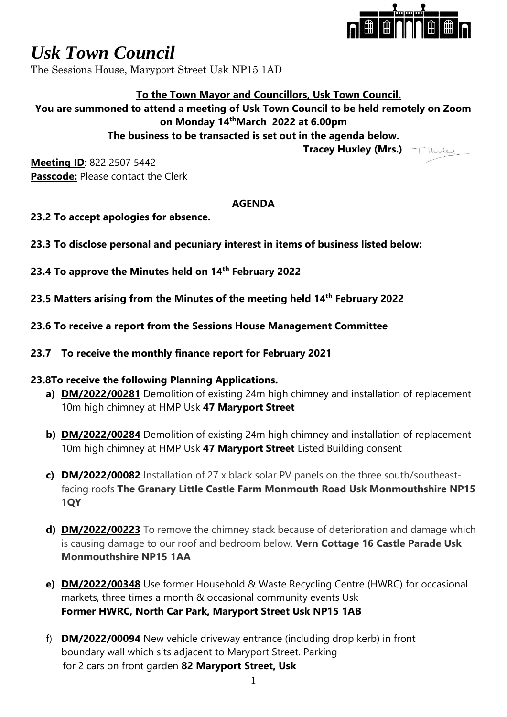

# *Usk Town Council*

The Sessions House, Maryport Street Usk NP15 1AD

# **To the Town Mayor and Councillors, Usk Town Council.**

### **You are summoned to attend a meeting of Usk Town Council to be held remotely on Zoom on Monday 14thMarch 2022 at 6.00pm**

**The business to be transacted is set out in the agenda below.**

 **Tracey Huxley (Mrs.)**

THurley

**Meeting ID**: 822 2507 5442 **Passcode:** Please contact the Clerk

# **AGENDA**

- **23.2 To accept apologies for absence.**
- **23.3 To disclose personal and pecuniary interest in items of business listed below:**
- **23.4 To approve the Minutes held on 14th February 2022**
- **23.5 Matters arising from the Minutes of the meeting held 14th February 2022**
- **23.6 To receive a report from the Sessions House Management Committee**
- **23.7 To receive the monthly finance report for February 2021**

### **23.8To receive the following Planning Applications.**

- **a) DM/2022/00281** Demolition of existing 24m high chimney and installation of replacement 10m high chimney at HMP Usk **47 Maryport Street**
- **b) DM/2022/00284** Demolition of existing 24m high chimney and installation of replacement 10m high chimney at HMP Usk **47 Maryport Street** Listed Building consent
- **c) DM/2022/00082** Installation of 27 x black solar PV panels on the three south/southeastfacing roofs **The Granary Little Castle Farm Monmouth Road Usk Monmouthshire NP15 1QY**
- **d) DM/2022/00223** To remove the chimney stack because of deterioration and damage which is causing damage to our roof and bedroom below. **Vern Cottage 16 Castle Parade Usk Monmouthshire NP15 1AA**
- **e) DM/2022/00348** Use former Household & Waste Recycling Centre (HWRC) for occasional markets, three times a month & occasional community events Usk **Former HWRC, North Car Park, Maryport Street Usk NP15 1AB**
- f) **DM/2022/00094** New vehicle driveway entrance (including drop kerb) in front boundary wall which sits adjacent to Maryport Street. Parking for 2 cars on front garden **82 Maryport Street, Usk**